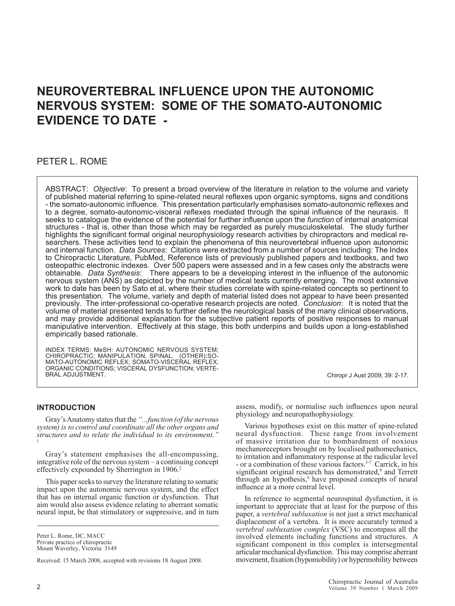# **NEUROVERTEBRAL INFLUENCE UPON THE AUTONOMIC NERVOUS SYSTEM: SOME OF THE SOMATO-AUTONOMIC EVIDENCE TO DATE -**

### PETER L. ROME

ABSTRACT: *Objective*: To present a broad overview of the literature in relation to the volume and variety of published material referring to spine-related neural reflexes upon organic symptoms, signs and conditions - the somato-autonomic influence. This presentation particularly emphasises somato-autonomic reflexes and to a degree, somato-autonomic-visceral reflexes mediated through the spinal influence of the neuraxis. It seeks to catalogue the evidence of the potential for further influence upon the *function* of internal anatomical structures - that is, other than those which may be regarded as purely musculoskeletal. The study further highlights the significant formal original neurophysiology research activities by chiropractors and medical researchers. These activities tend to explain the phenomena of this neurovertebral influence upon autonomic and internal function. *Data Sources*: Citations were extracted from a number of sources including: The Index to Chiropractic Literature, PubMed, Reference lists of previously published papers and textbooks, and two osteopathic electronic indexes. Over 500 papers were assessed and in a few cases only the abstracts were obtainable. *Data Synthesis*: There appears to be a developing interest in the influence of the autonomic nervous system (ANS) as depicted by the number of medical texts currently emerging. The most extensive work to date has been by Sato et al, where their studies correlate with spine-related concepts so pertinent to this presentation. The volume, variety and depth of material listed does not appear to have been presented previously. The inter-professional co-operative research projects are noted. *Conclusion*: It is noted that the volume of material presented tends to further define the neurological basis of the many clinical observations, and may provide additional explanation for the subjective patient reports of positive responses to manual manipulative intervention. Effectively at this stage, this both underpins and builds upon a long-established empirically based rationale.

INDEX TERMS: MeSH: AUTONOMIC NERVOUS SYSTEM; CHIROPRACTIC; MANIPULATION, SPINAL. (OTHER):SO-MATO-AUTONOMIC REFLEX; SOMATO-VISCERAL REFLEX; ORGANIC CONDITIONS; VISCERAL DYSFUNCTION; VERTE-BRAL ADJUSTMENT.

### **INTRODUCTION**

Gray's Anatomy states that the *"...function (of the nervous system) is to control and coordinate all the other organs and structures and to relate the individual to its environment."*  1

Gray's statement emphasises the all-encompassing, integrative role of the nervous system – a continuing concept effectively expounded by Sherrington in 1906.<sup>2</sup>

This paper seeks to survey the literature relating to somatic impact upon the autonomic nervous system, and the effect that has on internal organic function or dysfunction. That aim would also assess evidence relating to aberrant somatic neural input, be that stimulatory or suppressive, and in turn

Peter L. Rome, DC, MACC Private practice of chiropractic

Mount Waverley, Victoria 3149

Received: 15 March 2008, accepted with revisions 18 August 2008.

Chiropr J Aust 2009; 39: 2-17.

assess, modify, or normalise such influences upon neural physiology and neuropathophysiology.

Various hypotheses exist on this matter of spine-related neural dysfunction. These range from involvement of massive irritation due to bombardment of noxious mechanoreceptors brought on by localised pathomechanics, to irritation and inflammatory response at the radicular level - or a combination of these various factors.<sup>3-7</sup> Carrick, in his significant original research has demonstrated,<sup>8</sup> and Terrett through an hypothesis,<sup>9</sup> have proposed concepts of neural influence at a more central level.

In reference to segmental neurospinal dysfunction, it is important to appreciate that at least for the purpose of this paper, a *vertebral subluxation* is not just a strict mechanical displacement of a vertebra. It is more accurately termed a *vertebral subluxation complex* (VSC) to encompass all the involved elements including functions and structures. A significant component in this complex is intersegmental articular mechanical dysfunction. This may comprise aberrant movement, fixation (hypomobility) or hypermobility between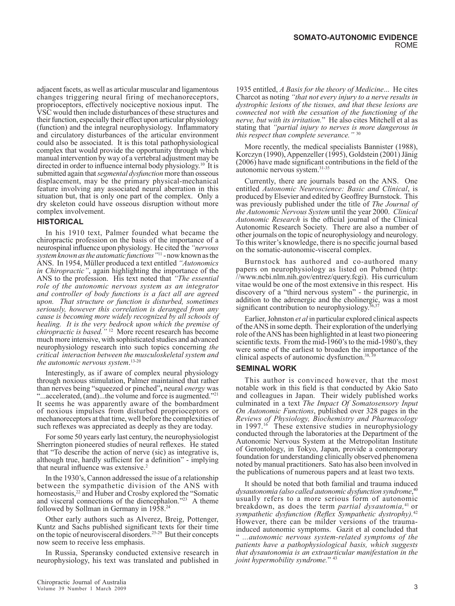adjacent facets, as well as articular muscular and ligamentous changes triggering neural firing of mechanoreceptors, proprioceptors, effectively nociceptive noxious input. The VSC would then include disturbances of these structures and their function, especially their effect upon articular physiology (function) and the integral neurophysiology. Inflammatory and circulatory disturbances of the articular environment could also be associated. It is this total pathophysiological complex that would provide the opportunity through which manual intervention by way of a vertebral adjustment may be directed in order to influence internal body physiology.10 It is submitted again that *segmental dysfunction* more than osseous displacement, may be the primary physical-mechanical feature involving any associated neural aberration in this situation but, that is only one part of the complex. Only a dry skeleton could have osseous disruption without more complex involvement.

### **HISTORICAL**

In his 1910 text, Palmer founded what became the chiropractic profession on the basis of the importance of a neurospinal influence upon physiology. He cited the *"nervous system known as the automatic functions"*11 - now known as the ANS. In 1954, Müller produced a text entitled *"Autonomics in Chiropractic"*, again highlighting the importance of the ANS to the profession. His text noted that *"The essential role of the autonomic nervous system as an integrator and controller of body functions is a fact all are agreed upon. That structure or function is disturbed, sometimes seriously, however this correlation is deranged from any cause is becoming more widely recognized by all schools of healing. It is the very bedrock upon which the premise of chiropractic is based."* 12 More recent research has become much more intensive, with sophisticated studies and advanced neurophysiology research into such topics concerning *the critical interaction between the musculoskeletal system and the autonomic nervous system*. 13-20

Interestingly, as if aware of complex neural physiology through noxious stimulation, Palmer maintained that rather than nerves being "squeezed or pinched"**,** neural *energy* was "...accelerated, (and)...the volume and force is augmented."<sup>21</sup> It seems he was apparently aware of the bombardment of noxious impulses from disturbed proprioceptors or mechanoreceptors at that time, well before the complexities of such reflexes was appreciated as deeply as they are today.

For some 50 years early last century, the neurophysiologist Sherrington pioneered studies of neural reflexes. He stated that "To describe the action of nerve (sic) as integrative is, although true, hardly sufficient for a definition" - implying that neural influence was extensive.<sup>2</sup>

In the 1930's, Cannon addressed the issue of a relationship between the sympathetic division of the ANS with homeostasis,<sup>22</sup> and Huber and Crosby explored the "Somatic and visceral connections of the diencephalon."<sup>23</sup> A theme followed by Sollman in Germany in 1958.24

Other early authors such as Alverez, Breig, Pottenger, Kuntz and Sachs published significant texts for their time on the topic of neurovisceral disorders.25-29 But their concepts now seem to receive less emphasis.

In Russia, Speransky conducted extensive research in neurophysiology, his text was translated and published in

1935 entitled, *A Basis for the theory of Medicine*... He cites Charcot as noting *"that not every injury to a nerve results in dystrophic lesions of the tissues, and that these lesions are connected not with the cessation of the functioning of the nerve, but with its irritation.*" He also cites Mitchell et al as stating that *"partial injury to nerves is more dangerous in this respect than complete severance."* <sup>30</sup>

More recently, the medical specialists Bannister (1988), Korczyn (1990), Appenzeller (1995), Goldstein (2001) Jänig (2006) have made significant contributions in the field of the autonomic nervous system.<sup>31-35</sup>

Currently, there are journals based on the ANS. One entitled *Autonomic Neuroscience: Basic and Clinical*, is produced by Elsevier and edited by Geoffrey Burnstock. This was previously published under the title of *The Journal of the Autonomic Nervous System* until the year 2000. *Clinical Autonomic Research* is the official journal of the Clinical Autonomic Research Society. There are also a number of other journals on the topic of neurophysiology and neurology. To this writer's knowledge, there is no specific journal based on the somatic-autonomic-visceral complex.

Burnstock has authored and co-authored many papers on neurophysiology as listed on Pubmed (http: //www.ncbi.nlm.nih.gov/entrez/query.fcgi). His curriculum vitae would be one of the most extensive in this respect. His discovery of a "third nervous system" - the purinergic, in addition to the adrenergic and the cholinergic, was a most significant contribution to neurophysiology. $36,37$ 

Earlier, Johnston *et al* in particular explored clinical aspects of the ANS in some depth. Their exploration of the underlying role of the ANS has been highlighted in at least two pioneering scientific texts. From the mid-1960's to the mid-1980's, they were some of the earliest to broaden the importance of the clinical aspects of autonomic dysfunction.38, 39

### **SEMINAL WORK**

This author is convinced however, that the most notable work in this field is that conducted by Akio Sato and colleagues in Japan. Their widely published works culminated in a text *The Impact Of Somatosensory Input On Autonomic Functions*, published over 328 pages in the *Reviews of Physiology, Biochemistry and Pharmacology* in  $1997<sup>16</sup>$  These extensive studies in neurophysiology conducted through the laboratories at the Department of the Autonomic Nervous System at the Metropolitan Institute of Gerontology, in Tokyo, Japan, provide a contemporary foundation for understanding clinically observed phenomena noted by manual practitioners. Sato has also been involved in the publications of numerous papers and at least two texts.

It should be noted that both familial and trauma induced *dysautonomia (also called autonomic dysfunction syndrome*, 40 usually refers to a more serious form of autonomic breakdown, as does the term *partial dysautomia,*41 or *sympathetic dysfunction (Reflex Sympathetic dystrophy).*<sup>42</sup> However, there can be milder versions of the traumainduced autonomic symptoms. Gazit et al concluded that " *...autonomic nervous system-related symptoms of the patients have a pathophysiological basis, which suggests that dysautonomia is an extraarticular manifestation in the joint hypermobility syndrome.*" 43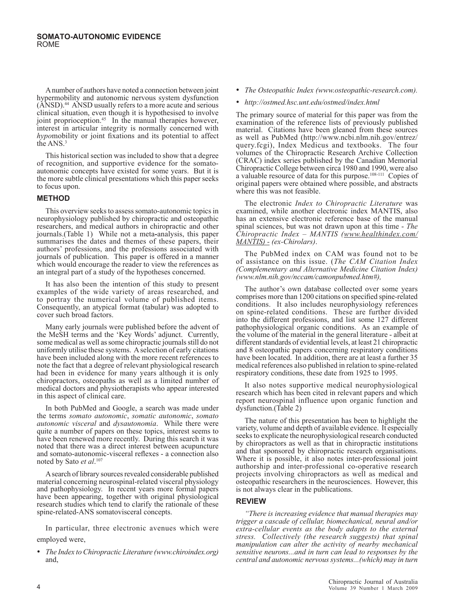A number of authors have noted a connection between joint hypermobility and autonomic nervous system dysfunction (ANSD).44 ANSD usually refers to a more acute and serious clinical situation, even though it is hypothesised to involve joint proprioception. $45$  In the manual therapies however, interest in articular integrity is normally concerned with *hypo*mobility or joint fixations and its potential to affect the ANS.<sup>3</sup>

This historical section was included to show that a degree of recognition, and supportive evidence for the somatoautonomic concepts have existed for some years. But it is the more subtle clinical presentations which this paper seeks to focus upon.

### **METHOD**

This overview seeks to assess somato-autonomic topics in neurophysiology published by chiropractic and osteopathic researchers, and medical authors in chiropractic and other journals.(Table 1) While not a meta**-**analysis, this paper summarises the dates and themes of these papers, their authors' professions, and the professions associated with journals of publication. This paper is offered in a manner which would encourage the reader to view the references as an integral part of a study of the hypotheses concerned.

It has also been the intention of this study to present examples of the wide variety of areas researched, and to portray the numerical volume of published items. Consequently, an atypical format (tabular) was adopted to cover such broad factors.

Many early journals were published before the advent of the MeSH terms and the 'Key Words' adjunct. Currently, some medical as well as some chiropractic journals still do not uniformly utilise these systems. A selection of early citations have been included along with the more recent references to note the fact that a degree of relevant physiological research had been in evidence for many years although it is only chiropractors, osteopaths as well as a limited number of medical doctors and physiotherapists who appear interested in this aspect of clinical care.

In both PubMed and Google, a search was made under the terms *somato autonomic*, *somatic autonomic*, *somato autonomic visceral* and *dysautonomia*. While there were quite a number of papers on these topics, interest seems to have been renewed more recently. During this search it was noted that there was a direct interest between acupuncture and somato-autonomic-visceral reflexes - a connection also noted by Sato *et al*. 107

A search of library sources revealed considerable published material concerning neurospinal-related visceral physiology and pathophysiology. In recent years more formal papers have been appearing, together with original physiological research studies which tend to clarify the rationale of these spine-related-ANS somatovisceral concepts.

In particular, three electronic avenues which were employed were,

• *The Index to Chiropractic Literature (www.chiroindex.org)* and,

- *The Osteopathic Index (www.osteopathic-research.com).*
- *http://ostmed.hsc.unt.edu/ostmed/index.html*

The primary source of material for this paper was from the examination of the reference lists of previously published material. Citations have been gleaned from these sources as well as PubMed (http://www.ncbi.nlm.nih.gov/entrez/ query.fcgi), Index Medicus and textbooks. The four volumes of the Chiropractic Research Archive Collection (CRAC) index series published by the Canadian Memorial Chiropractic College between circa 1980 and 1990, were also a valuable resource of data for this purpose.<sup>108-111</sup> Copies of original papers were obtained where possible, and abstracts where this was not feasible.

The electronic *Index to Chiropractic Literature* was examined, while another electronic index MANTIS, also has an extensive electronic reference base of the manual spinal sciences, but was not drawn upon at this time - *The Chiropractic Index – MANTIS (www.healthindex.com/ MANTIS) - (ex-Chirolars)*.

The PubMed index on CAM was found not to be of assistance on this issue. (*The CAM Citation Index (Complementary and Alternative Medicine Citation Index) (www.nlm.nih.gov/nccam/camonpubmed.htm#),* 

The author's own database collected over some years comprises more than 1200 citations on specified spine-related conditions. It also includes neurophysiology references on spine-related conditions. These are further divided into the different professions, and list some 127 different pathophysiological organic conditions. As an example of the volume of the material in the general literature - albeit at different standards of evidential levels, at least 21 chiropractic and 8 osteopathic papers concerning respiratory conditions have been located. In addition, there are at least a further 35 medical references also published in relation to spine-related respiratory conditions, these date from 1925 to 1995.

It also notes supportive medical neurophysiological research which has been cited in relevant papers and which report neurospinal influence upon organic function and dysfunction.(Table 2)

The nature of this presentation has been to highlight the variety, volume and depth of available evidence. It especially seeks to explicate the neurophysiological research conducted by chiropractors as well as that in chiropractic institutions and that sponsored by chiropractic research organisations. Where it is possible, it also notes inter-professional joint authorship and inter-professional co-operative research projects involving chiropractors as well as medical and osteopathic researchers in the neurosciences. However, this is not always clear in the publications.

### **REVIEW**

*"There is increasing evidence that manual therapies may trigger a cascade of cellular, biomechanical, neural and/or extra-cellular events as the body adapts to the external stress. Collectively (the research suggests) that spinal manipulation can alter the activity of nearby mechanical sensitive neurons...and in turn can lead to responses by the central and autonomic nervous systems...(which) may in turn*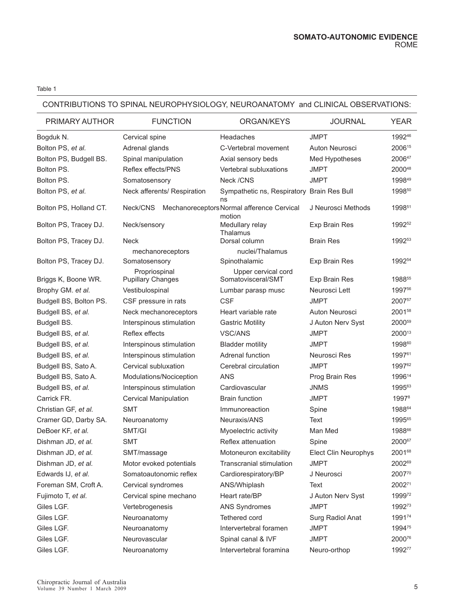### CONTRIBUTIONS TO SPINAL NEUROPHYSIOLOGY, NEUROANATOMY and CLINICAL OBSERVATIONS:

| PRIMARY AUTHOR         | <b>FUNCTION</b>                           | ORGAN/KEYS                                           | <b>JOURNAL</b>              | <b>YEAR</b>        |
|------------------------|-------------------------------------------|------------------------------------------------------|-----------------------------|--------------------|
| Bogduk N.              | Cervical spine                            | Headaches                                            | <b>JMPT</b>                 | 199246             |
| Bolton PS, et al.      | Adrenal glands                            | C-Vertebral movement                                 | Auton Neurosci              | 200615             |
| Bolton PS, Budgell BS. | Spinal manipulation                       | Axial sensory beds                                   | Med Hypotheses              | 200647             |
| Bolton PS.             | Reflex effects/PNS                        | Vertebral subluxations                               | <b>JMPT</b>                 | 200048             |
| Bolton PS.             | Somatosensory                             | Neck /CNS                                            | <b>JMPT</b>                 | 199849             |
| Bolton PS, et al.      | Neck afferents/ Respiration               | Sympathetic ns, Respiratory Brain Res Bull<br>ns     |                             | 199850             |
| Bolton PS, Holland CT. | Neck/CNS                                  | Mechanoreceptors Normal afference Cervical<br>motion | J Neurosci Methods          | 1998 <sup>51</sup> |
| Bolton PS, Tracey DJ.  | Neck/sensory                              | Medullary relay<br>Thalamus                          | Exp Brain Res               | 199252             |
| Bolton PS, Tracey DJ.  | <b>Neck</b>                               | Dorsal column                                        | <b>Brain Res</b>            | 1992 <sup>53</sup> |
|                        | mechanoreceptors                          | nuclei/Thalamus                                      |                             |                    |
| Bolton PS, Tracey DJ.  | Somatosensory                             | Spinothalamic                                        | Exp Brain Res               | 199254             |
| Briggs K, Boone WR.    | Propriospinal<br><b>Pupillary Changes</b> | Upper cervical cord<br>Somatovisceral/SMT            | Exp Brain Res               | 198855             |
| Brophy GM. et al.      | Vestibulospinal                           | Lumbar parasp musc                                   | Neurosci Lett               | 1997 <sup>56</sup> |
| Budgell BS, Bolton PS. | CSF pressure in rats                      | <b>CSF</b>                                           | <b>JMPT</b>                 | 200757             |
| Budgell BS, et al.     | Neck mechanoreceptors                     | Heart variable rate                                  | Auton Neurosci              | 200158             |
| Budgell BS.            | Interspinous stimulation                  | <b>Gastric Motility</b>                              | J Auton Nerv Syst           | 2000 <sup>59</sup> |
| Budgell BS, et al.     | Reflex effects                            | VSC/ANS                                              | <b>JMPT</b>                 | 200013             |
| Budgell BS, et al.     | Interspinous stimulation                  | <b>Bladder motility</b>                              | <b>JMPT</b>                 | 199860             |
| Budgell BS, et al.     | Interspinous stimulation                  | Adrenal function                                     | Neurosci Res                | 199761             |
| Budgell BS, Sato A.    | Cervical subluxation                      | Cerebral circulation                                 | JMPT                        | 199762             |
| Budgell BS, Sato A.    | Modulations/Nociception                   | <b>ANS</b>                                           | Prog Brain Res              | 199614             |
| Budgell BS, et al.     | Interspinous stimulation                  | Cardiovascular                                       | <b>JNMS</b>                 | 199563             |
| Carrick FR.            | <b>Cervical Manipulation</b>              | <b>Brain function</b>                                | <b>JMPT</b>                 | 19978              |
| Christian GF, et al.   | <b>SMT</b>                                | Immunoreaction                                       | Spine                       | 198864             |
| Cramer GD, Darby SA.   | Neuroanatomy                              | Neuraxis/ANS                                         | Text                        | 199565             |
| DeBoer KF, et al.      | SMT/GI                                    | Myoelectric activity                                 | Man Med                     | 198866             |
| Dishman JD, et al.     | SMT                                       | Reflex attenuation                                   | Spine                       | 200067             |
| Dishman JD, et al.     | SMT/massage                               | Motoneuron excitability                              | <b>Elect Clin Neurophys</b> | 200168             |
| Dishman JD, et al.     | Motor evoked potentials                   | Transcranial stimulation                             | <b>JMPT</b>                 | 200269             |
| Edwards IJ, et al.     | Somatoautonomic reflex                    | Cardiorespiratory/BP                                 | J Neurosci                  | 200770             |
| Foreman SM, Croft A.   | Cervical syndromes                        | ANS/Whiplash                                         | Text                        | 200271             |
| Fujimoto T, et al.     | Cervical spine mechano                    | Heart rate/BP                                        | J Auton Nerv Syst           | 199972             |
| Giles LGF.             | Vertebrogenesis                           | <b>ANS Syndromes</b>                                 | <b>JMPT</b>                 | 199273             |
| Giles LGF.             | Neuroanatomy                              | Tethered cord                                        | Surg Radiol Anat            | 199174             |
| Giles LGF.             | Neuroanatomy                              | Intervertebral foramen                               | <b>JMPT</b>                 | 199475             |
| Giles LGF.             | Neurovascular                             | Spinal canal & IVF                                   | <b>JMPT</b>                 | 200076             |
| Giles LGF.             | Neuroanatomy                              | Intervertebral foramina                              | Neuro-orthop                | 199277             |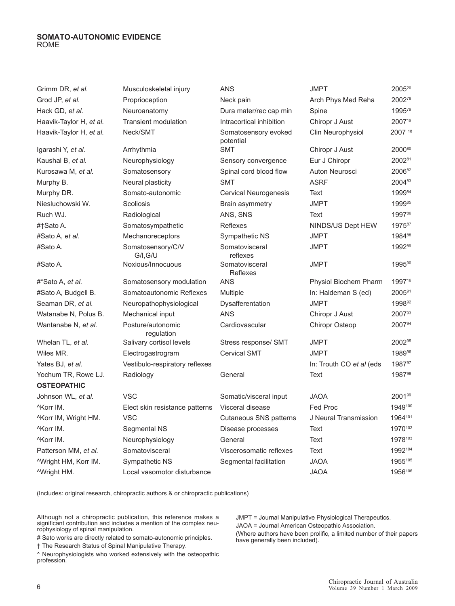| Grimm DR, et al.                 | Musculoskeletal injury          | <b>ANS</b>                        | <b>JMPT</b>              | 200520  |
|----------------------------------|---------------------------------|-----------------------------------|--------------------------|---------|
| Grod JP, et al.                  | Proprioception                  | Neck pain                         | Arch Phys Med Reha       | 200278  |
| Hack GD, et al.                  | Neuroanatomy                    | Dura mater/rec cap min            | Spine                    | 199579  |
| Haavik-Taylor H, et al.          | <b>Transient modulation</b>     | Intracortical inhibition          | Chiropr J Aust           | 200719  |
| Haavik-Taylor H, et al.          | Neck/SMT                        | Somatosensory evoked<br>potential | Clin Neurophysiol        | 2007 18 |
| Igarashi Y, et al.               | Arrhythmia                      | <b>SMT</b>                        | Chiropr J Aust           | 200080  |
| Kaushal B, et al.                | Neurophysiology                 | Sensory convergence               | Eur J Chiropr            | 200281  |
| Kurosawa M, et al.               | Somatosensory                   | Spinal cord blood flow            | Auton Neurosci           | 200682  |
| Murphy B.                        | Neural plasticity               | <b>SMT</b>                        | <b>ASRF</b>              | 200483  |
| Murphy DR.                       | Somato-autonomic                | Cervical Neurogenesis             | Text                     | 199984  |
| Niesluchowski W.                 | Scoliosis                       | Brain asymmetry                   | <b>JMPT</b>              | 199985  |
| Ruch WJ.                         | Radiological                    | ANS, SNS                          | Text                     | 199786  |
| #†Sato A.                        | Somatosympathetic               | Reflexes                          | NINDS/US Dept HEW        | 197587  |
| #Sato A, <i>et al.</i>           | Mechanoreceptors                | Sympathetic NS                    | <b>JMPT</b>              | 198488  |
| #Sato A.                         | Somatosensory/C/V<br>GII, G/U   | Somatovisceral<br>reflexes        | <b>JMPT</b>              | 199289  |
| #Sato A.                         | Noxious/Innocuous               | Somatovisceral<br>Reflexes        | <b>JMPT</b>              | 199590  |
| #*Sato A, <i>et al.</i>          | Somatosensory modulation        | <b>ANS</b>                        | Physiol Biochem Pharm    | 199716  |
| #Sato A, Budgell B.              | Somatoautonomic Reflexes        | Multiple                          | In: Haldeman S (ed)      | 200591  |
| Seaman DR, et al.                | Neuropathophysiological         | Dysafferentation                  | <b>JMPT</b>              | 199892  |
| Watanabe N, Polus B.             | Mechanical input                | <b>ANS</b>                        | Chiropr J Aust           | 200793  |
| Wantanabe N, et al.              | Posture/autonomic<br>regulation | Cardiovascular                    | <b>Chiropr Osteop</b>    | 200794  |
| Whelan TL, et al.                | Salivary cortisol levels        | Stress response/ SMT              | <b>JMPT</b>              | 200295  |
| Wiles MR.                        | Electrogastrogram               | <b>Cervical SMT</b>               | <b>JMPT</b>              | 198996  |
| Yates BJ, et al.                 | Vestibulo-respiratory reflexes  |                                   | In: Trouth CO et al (eds | 198797  |
| Yochum TR, Rowe LJ.              | Radiology                       | General                           | Text                     | 198798  |
| <b>OSTEOPATHIC</b>               |                                 |                                   |                          |         |
| Johnson WL, et al.               | <b>VSC</b>                      | Somatic/visceral input            | <b>JAOA</b>              | 200199  |
| <sup>^</sup> Korr IM.            | Elect skin resistance patterns  | Visceral disease                  | Fed Proc                 | 1949100 |
| ^Korr IM, Wright HM.             | <b>VSC</b>                      | Cutaneous SNS patterns            | J Neural Transmission    | 1964101 |
| <sup>^</sup> Korr IM.            | Segmental NS                    | Disease processes                 | Text                     | 1970102 |
| <sup>^</sup> Korr IM.            | Neurophysiology                 | General                           | Text                     | 1978103 |
| Patterson MM, et al.             | Somatovisceral                  | Viscerosomatic reflexes           | Text                     | 1992104 |
| <sup>A</sup> Wright HM, Korr IM. | Sympathetic NS                  | Segmental facilitation            | <b>JAOA</b>              | 1955105 |
| ^Wright HM.                      | Local vasomotor disturbance     |                                   | <b>JAOA</b>              | 1956106 |
|                                  |                                 |                                   |                          |         |

(Includes: original research, chiropractic authors & or chiropractic publications)

Although not a chiropractic publication, this reference makes a significant contribution and includes a mention of the complex neurophysiology of spinal manipulation.

# Sato works are directly related to somato-autonomic principles.

† The Research Status of Spinal Manipulative Therapy.

^ Neurophysiologists who worked extensively with the osteopathic profession.

JMPT = Journal Manipulative Physiological Therapeutics.

JAOA = Journal American Osteopathic Association.

(Where authors have been prolific, a limited number of their papers have generally been included).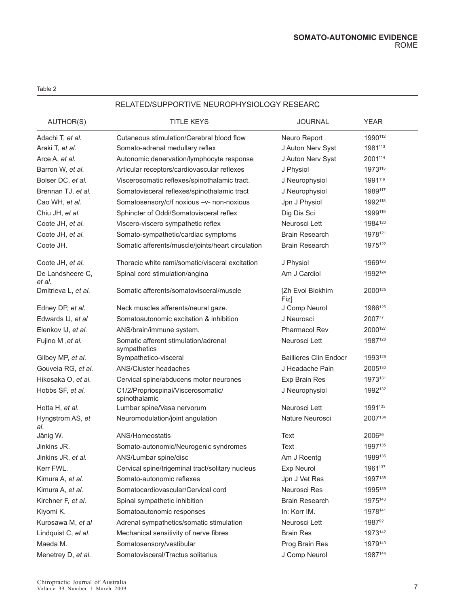### RELATED/SUPPORTIVE NEUROPHYSIOLOGY RESEARC

| AUTHOR(S)                  | <b>TITLE KEYS</b>                                    | <b>JOURNAL</b>                | <b>YEAR</b>        |
|----------------------------|------------------------------------------------------|-------------------------------|--------------------|
| Adachi T, et al.           | Cutaneous stimulation/Cerebral blood flow            | Neuro Report                  | 1990112            |
| Araki T, et al.            | Somato-adrenal medullary reflex                      | J Auton Nerv Syst             | 1981113            |
| Arce A, et al.             | Autonomic denervation/lymphocyte response            | J Auton Nerv Syst             | 2001114            |
| Barron W, et al.           | Articular receptors/cardiovascular reflexes          | J Physiol                     | 1973115            |
| Bolser DC, et al.          | Viscerosomatic reflexes/spinothalamic tract.         | J Neurophysiol                | 1991116            |
| Brennan TJ, et al.         | Somatovisceral reflexes/spinothalamic tract          | J Neurophysiol                | 1989117            |
| Cao WH, et al.             | Somatosensory/c/f noxious -v- non-noxious            | Jpn J Physiol                 | 1992118            |
| Chiu JH, et al.            | Sphincter of Oddi/Somatovisceral reflex              | Dig Dis Sci                   | 1999119            |
| Coote JH, et al.           | Viscero-viscero sympathetic reflex                   | Neurosci Lett                 | 1984120            |
| Coote JH, et al.           | Somato-sympathetic/cardiac symptoms                  | <b>Brain Research</b>         | 1978121            |
| Coote JH.                  | Somatic afferents/muscle/joints/heart circulation    | <b>Brain Research</b>         | 1975122            |
| Coote JH, et al.           | Thoracic white rami/somatic/visceral excitation      | J Physiol                     | 1969123            |
| De Landsheere C,<br>et al. | Spinal cord stimulation/angina                       | Am J Cardiol                  | 1992124            |
| Dmitrieva L, et al.        | Somatic afferents/somatovisceral/muscle              | [Zh Evol Biokhim<br>Fiz]      | 2000125            |
| Edney DP, et al.           | Neck muscles afferents/neural gaze.                  | J Comp Neurol                 | 1986126            |
| Edwards IJ, et al          | Somatoautonomic excitation & inhibition              | J Neurosci                    | 200777             |
| Elenkov IJ, et al.         | ANS/brain/immune system.                             | <b>Pharmacol Rev</b>          | 2000127            |
| Fujino M, et al.           | Somatic afferent stimulation/adrenal<br>sympathetics | Neurosci Lett                 | 1987128            |
| Gilbey MP, et al.          | Sympathetico-visceral                                | <b>Baillieres Clin Endocr</b> | 1993129            |
| Gouveia RG, et al.         | ANS/Cluster headaches                                | J Headache Pain               | 2005130            |
| Hikosaka O, et al.         | Cervical spine/abducens motor neurones               | Exp Brain Res                 | 1973131            |
| Hobbs SF, et al.           | C1/2/Propriospinal/Viscerosomatic/<br>spinothalamic  | J Neurophysiol                | 1992132            |
| Hotta H, et al.            | Lumbar spine/Vasa nervorum                           | Neurosci Lett                 | 1991133            |
| Hyngstrom AS, et<br>al.    | Neuromodulation/joint angulation                     | Nature Neurosci               | 2007134            |
| Jänig W.                   | ANS/Homeostatis                                      | Text                          | 2006 <sup>36</sup> |
| Jinkins JR.                | Somato-autonomic/Neurogenic syndromes                | <b>Text</b>                   | 1997135            |
| Jinkins JR, et al.         | ANS/Lumbar spine/disc                                | Am J Roentg                   | 1989136            |
| Kerr FWL.                  | Cervical spine/trigeminal tract/solitary nucleus     | Exp Neurol                    | 1961137            |
| Kimura A, et al.           | Somato-autonomic reflexes                            | Jpn J Vet Res                 | 1997138            |
| Kimura A, et al.           | Somatocardiovascular/Cervical cord                   | Neurosci Res                  | 1995139            |
| Kirchner F, et al.         | Spinal sympathetic inhibition                        | <b>Brain Research</b>         | 1975140            |
| Kiyomi K.                  | Somatoautonomic responses                            | In: Korr IM.                  | 1978141            |
| Kurosawa M, et al          | Adrenal sympathetics/somatic stimulation             | Neurosci Lett                 | 198792             |
| Lindquist C, et al.        | Mechanical sensitivity of nerve fibres               | <b>Brain Res</b>              | 1973142            |
| Maeda M.                   | Somatosensory/vestibular                             | Prog Brain Res                | 1979143            |
| Menetrey D, et al.         | Somatovisceral/Tractus solitarius                    | J Comp Neurol                 | 1987144            |
|                            |                                                      |                               |                    |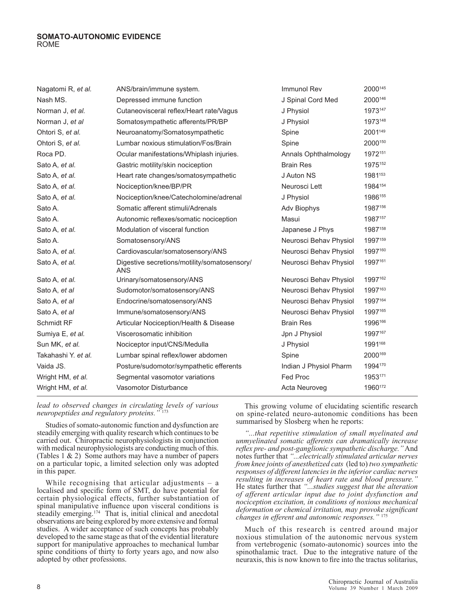| Nagatomi R, et al.  | ANS/brain/immune system.                                   | Immunol Rev            | 2000145 |
|---------------------|------------------------------------------------------------|------------------------|---------|
| Nash MS.            | Depressed immune function                                  | J Spinal Cord Med      | 2000146 |
| Norman J, et al.    | Cutaneovisceral reflex/Heart rate/Vagus                    | J Physiol              | 1973147 |
| Norman J, et al     | Somatosympathetic afferents/PR/BP                          | J Physiol              | 1973148 |
| Ohtori S, et al.    | Neuroanatomy/Somatosympathetic                             | Spine                  | 2001149 |
| Ohtori S, et al.    | Lumbar noxious stimulation/Fos/Brain                       | Spine                  | 2000150 |
| Roca PD.            | Ocular manifestations/Whiplash injuries.                   | Annals Ophthalmology   | 1972151 |
| Sato A, et al.      | Gastric motility/skin nociception                          | <b>Brain Res</b>       | 1975152 |
| Sato A, et al.      | Heart rate changes/somatosympathetic                       | J Auton NS             | 1981153 |
| Sato A, et al.      | Nociception/knee/BP/PR                                     | Neurosci Lett          | 1984154 |
| Sato A, et al.      | Nociception/knee/Catecholomine/adrenal                     | J Physiol              | 1986155 |
| Sato A.             | Somatic afferent stimuli/Adrenals                          | Adv Biophys            | 1987156 |
| Sato A.             | Autonomic reflexes/somatic nociception                     | Masui                  | 1987157 |
| Sato A, et al.      | Modulation of visceral function                            | Japanese J Phys        | 1987158 |
| Sato A.             | Somatosensory/ANS                                          | Neurosci Behav Physiol | 1997159 |
| Sato A, et al.      | Cardiovascular/somatosensory/ANS                           | Neurosci Behav Physiol | 1997160 |
| Sato A, et al.      | Digestive secretions/motility/somatosensory/<br><b>ANS</b> | Neurosci Behav Physiol | 1997161 |
| Sato A, et al.      | Urinary/somatosensory/ANS                                  | Neurosci Behav Physiol | 1997162 |
| Sato A, et al       | Sudomotor/somatosensory/ANS                                | Neurosci Behav Physiol | 1997163 |
| Sato A, et al       | Endocrine/somatosensory/ANS                                | Neurosci Behav Physiol | 1997164 |
| Sato A, et al       | Immune/somatosensory/ANS                                   | Neurosci Behav Physiol | 1997165 |
| Schmidt RF          | Articular Nociception/Health & Disease                     | <b>Brain Res</b>       | 1996166 |
| Sumiya E, et al.    | Viscerosomatic inhibition                                  | Jpn J Physiol          | 1997167 |
| Sun MK, et al.      | Nociceptor input/CNS/Medulla                               | J Physiol              | 1991168 |
| Takahashi Y. et al. | Lumbar spinal reflex/lower abdomen                         | Spine                  | 2000169 |
| Vaida JS.           | Posture/sudomotor/sympathetic efferents                    | Indian J Physiol Pharm | 1994170 |
| Wright HM, et al.   | Segmental vasomotor variations                             | Fed Proc               | 1953171 |
| Wright HM, et al.   | Vasomotor Disturbance                                      | Acta Neuroveg          | 1960172 |

*lead to observed changes in circulating levels of various neuropeptides and regulatory proteins."* <sup>173</sup>

Studies of somato-autonomic function and dysfunction are steadily emerging with quality research which continues to be carried out. Chiropractic neurophysiologists in conjunction with medical neurophysiologists are conducting much of this. (Tables 1 & 2) Some authors may have a number of papers on a particular topic, a limited selection only was adopted in this paper.

While recognising that articular adjustments – a localised and specific form of SMT, do have potential for certain physiological effects, further substantiation of spinal manipulative influence upon visceral conditions is steadily emerging.<sup>174</sup> That is, initial clinical and anecdotal observations are being explored by more extensive and formal studies. A wider acceptance of such concepts has probably developed to the same stage as that of the evidential literature support for manipulative approaches to mechanical lumbar spine conditions of thirty to forty years ago, and now also adopted by other professions.

This growing volume of elucidating scientific research on spine-related neuro-autonomic conditions has been summarised by Slosberg when he reports:

*"...that repetitive stimulation of small myelinated and unmyelinated somatic afferents can dramatically increase reflex pre- and post-ganglionic sympathetic discharge."* And notes further that *"...electrically stimulated articular nerves from knee joints of anesthetized cats* (led to) *two sympathetic responses of different latencies in the inferior cardiac nerves resulting in increases of heart rate and blood pressure."*  He states further that *"...studies suggest that the alteration of afferent articular input due to joint dysfunction and nociception excitation, in conditions of noxious mechanical deformation or chemical irritation, may provoke significant changes in efferent and autonomic responses."* <sup>175</sup>

Much of this research is centred around major noxious stimulation of the autonomic nervous system from vertebrogenic (somato-autonomic) sources into the spinothalamic tract. Due to the integrative nature of the neuraxis, this is now known to fire into the tractus solitarius,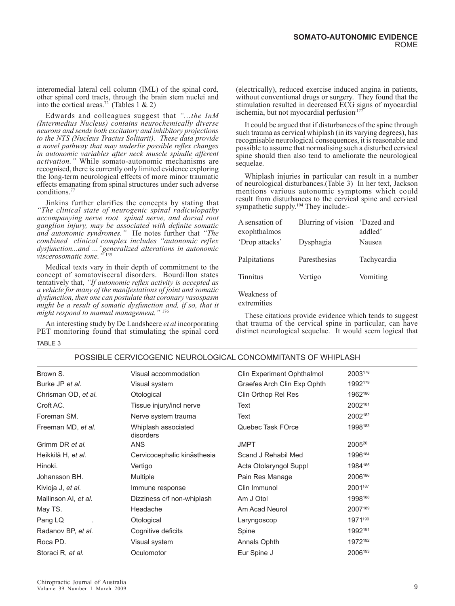interomedial lateral cell column (IML) of the spinal cord, other spinal cord tracts, through the brain stem nuclei and into the cortical areas.<sup>72</sup> (Tables 1 & 2)

Edwards and colleagues suggest that *"...the InM (Intermedius Nucleus) contains neurochemically diverse neurons and sends both excitatory and inhibitory projections to the NTS (Nucleus Tractus Solitarii). These data provide a novel pathway that may underlie possible reflex changes in autonomic variables after neck muscle spindle afferent activation."* While somato-autonomic mechanisms are recognised, there is currently only limited evidence exploring the long-term neurological effects of more minor traumatic effects emanating from spinal structures under such adverse conditions.77

Jinkins further clarifies the concepts by stating that *"The clinical state of neurogenic spinal radiculopathy accompanying nerve root spinal nerve, and dorsal root ganglion injury, may be associated with definite somatic and autonomic syndromes."* He notes further that *"The combined clinical complex includes "autonomic reflex dysfunction...and ..."generalized alterations in autonomic viscerosomatic tone."* <sup>135</sup>

Medical texts vary in their depth of commitment to the concept of somatovisceral disorders. Bourdillon states tentatively that, *"If autonomic reflex activity is accepted as a vehicle for many of the manifestations of joint and somatic dysfunction, then one can postulate that coronary vasospasm might be a result of somatic dysfunction and, if so, that it might respond to manual management."* <sup>176</sup>

An interesting study by De Landsheere *et al* incorporating PET monitoring found that stimulating the spinal cord TABLE 3

(electrically), reduced exercise induced angina in patients, without conventional drugs or surgery. They found that the stimulation resulted in decreased ECG signs of myocardial ischemia, but not myocardial perfusion<sup>177</sup>

It could be argued that if disturbances of the spine through such trauma as cervical whiplash (in its varying degrees), has recognisable neurological consequences, it is reasonable and possible to assume that normalising such a disturbed cervical spine should then also tend to ameliorate the neurological sequelae.

Whiplash injuries in particular can result in a number of neurological disturbances.(Table 3) In her text, Jackson mentions various autonomic symptoms which could result from disturbances to the cervical spine and cervical sympathetic supply.<sup>194</sup> They include:-

| A sensation of<br>exophthalmos | Blurring of vision | 'Dazed and<br>addled' |
|--------------------------------|--------------------|-----------------------|
| 'Drop attacks'                 | Dysphagia          | Nausea                |
| Palpitations                   | Paresthesias       | Tachycardia           |
| Tinnitus                       | Vertigo            | Vomiting              |
| Weakness of                    |                    |                       |

extremities

These citations provide evidence which tends to suggest that trauma of the cervical spine in particular, can have distinct neurological sequelae. It would seem logical that

| Brown S.             | Visual accommodation             | Clin Experiment Ophthalmol  | 2003178            |
|----------------------|----------------------------------|-----------------------------|--------------------|
| Burke JP et al.      | Visual system                    | Graefes Arch Clin Exp Ophth | 1992179            |
| Chrisman OD, et al.  | Otological                       | Clin Orthop Rel Res         | 1962180            |
| Croft AC.            | Tissue injury/incl nerve         | Text                        | 2002181            |
| Foreman SM.          | Nerve system trauma              | Text                        | 2002182            |
| Freeman MD, et al.   | Whiplash associated<br>disorders | Quebec Task FOrce           | 1998183            |
| Grimm DR et al.      | <b>ANS</b>                       | <b>JMPT</b>                 | 2005 <sup>20</sup> |
| Heikkilâ H, et al.   | Cervicocephalic kinästhesia      | Scand J Rehabil Med         | 1996184            |
| Hinoki.              | Vertigo                          | Acta Otolaryngol Suppl      | 1984185            |
| Johansson BH.        | <b>Multiple</b>                  | Pain Res Manage             | 2006186            |
| Kivioja J, et al.    | Immune response                  | Clin Immunol                | 2001187            |
| Mallinson AI, et al. | Dizziness c/f non-whiplash       | Am J Otol                   | 1998188            |
| May TS.              | Headache                         | Am Acad Neurol              | 2007189            |
| Pang LQ              | Otological                       | Laryngoscop                 | 1971190            |
| Radanov BP, et al.   | Cognitive deficits               | Spine                       | 1992191            |
| Roca PD.             | Visual system                    | Annals Ophth                | 1972192            |
| Storaci R, et al.    | Oculomotor                       | Eur Spine J                 | 2006193            |
|                      |                                  |                             |                    |

### POSSIBLE CERVICOGENIC NEUROLOGICAL CONCOMMITANTS OF WHIPLASH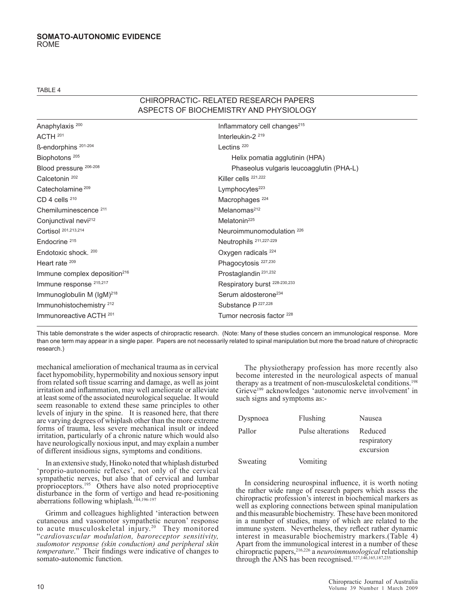TABLE 4

### CHIROPRACTIC- RELATED RESEARCH PAPERS ASPECTS OF BIOCHEMISTRY AND PHYSIOLOGY

| Anaphylaxis <sup>200</sup>                 | Inflammatory cell changes <sup>215</sup> |
|--------------------------------------------|------------------------------------------|
| ACTH <sup>201</sup>                        | Interleukin-2 <sup>219</sup>             |
| ß-endorphins <sup>201-204</sup>            | Lectins <sup>220</sup>                   |
| Biophotons <sup>205</sup>                  | Helix pomatia agglutinin (HPA)           |
| Blood pressure 206-208                     | Phaseolus vulgaris leucoagglutin (PHA-L) |
| Calcetonin <sup>202</sup>                  | Killer cells <sup>221,222</sup>          |
| Catecholamine <sup>209</sup>               | Lymphocytes $223$                        |
| CD 4 cells $210$                           | Macrophages <sup>224</sup>               |
| Chemiluminescence <sup>211</sup>           | Melanomas <sup>212</sup>                 |
| Conjunctival nevi <sup>212</sup>           | Melatonin <sup>225</sup>                 |
| Cortisol 201,213,214                       | Neuroimmunomodulation <sup>226</sup>     |
| Endocrine <sup>215</sup>                   | Neutrophils 211,227-229                  |
| Endotoxic shock. 200                       | Oxygen radicals $^{224}$                 |
| Heart rate 209                             | Phagocytosis <sup>227,230</sup>          |
| $Immune$ complex deposition <sup>216</sup> | Prostaglandin <sup>231,232</sup>         |
| Immune response 215,217                    | Respiratory burst 228-230,233            |
| Immunoglobulin M $(lgM)^{218}$             | Serum aldosterone <sup>234</sup>         |
| Immunohistochemistry <sup>212</sup>        | Substance P <sup>227,228</sup>           |
| Immunoreactive ACTH 201                    | Tumor necrosis factor <sup>228</sup>     |

This table demonstrate s the wider aspects of chiropractic research. (Note: Many of these studies concern an immunological response. More than one term may appear in a single paper. Papers are not necessarily related to spinal manipulation but more the broad nature of chiropractic research.)

mechanical amelioration of mechanical trauma as in cervical facet hypomobility, hypermobility and noxious sensory input from related soft tissue scarring and damage, as well as joint irritation and inflammation, may well ameliorate or alleviate at least some of the associated neurological sequelae. It would seem reasonable to extend these same principles to other levels of injury in the spine. It is reasoned here, that there are varying degrees of whiplash other than the more extreme forms of trauma, less severe mechanical insult or indeed irritation, particularly of a chronic nature which would also have neurologically noxious input, and may explain a number of different insidious signs, symptoms and conditions.

In an extensive study, Hinoko noted that whiplash disturbed 'proprio-autonomic reflexes', not only of the cervical sympathetic nerves, but also that of cervical and lumbar proprioceptors.195 Others have also noted proprioceptive disturbance in the form of vertigo and head re-positioning aberrations following whiplash.<sup>184,196-197</sup>

Grimm and colleagues highlighted 'interaction between cutaneous and vasomotor sympathetic neuron' response to acute musculoskeletal injury.<sup>20</sup> They monitored "*cardiovascular modulation, baroreceptor sensitivity, sudomotor response (skin conduction) and peripheral skin temperature*." Their findings were indicative of changes to somato-autonomic function.

The physiotherapy profession has more recently also become interested in the neurological aspects of manual therapy as a treatment of non-musculoskeletal conditions.<sup>198</sup> Grieve<sup>199</sup> acknowledges 'autonomic nerve involvement' in such signs and symptoms as:-

| Dyspnoea | Flushing          | Nausea                              |
|----------|-------------------|-------------------------------------|
| Pallor   | Pulse alterations | Reduced<br>respiratory<br>excursion |
| Sweating | Vomiting          |                                     |

In considering neurospinal influence, it is worth noting the rather wide range of research papers which assess the chiropractic profession's interest in biochemical markers as well as exploring connections between spinal manipulation and this measurable biochemistry. These have been monitored in a number of studies, many of which are related to the immune system. Nevertheless, they reflect rather dynamic interest in measurable biochemistry markers.(Table 4) Apart from the immunological interest in a number of these chiropractic papers,216,226 a *neuroimmunological* relationship through the ANS has been recognised.<sup>127,146,165,187,235</sup>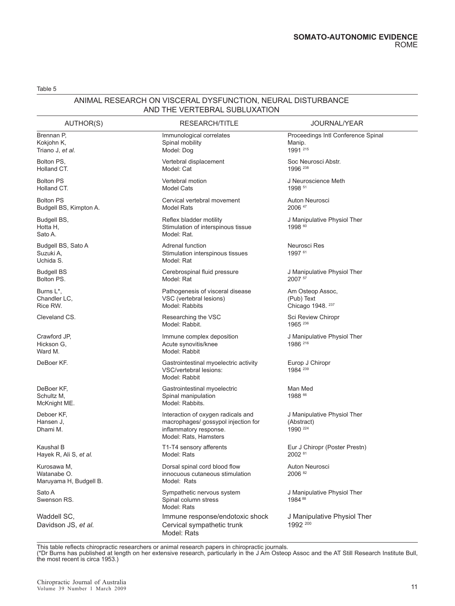### ANIMAL RESEARCH ON VISCERAL DYSFUNCTION, NEURAL DISTURBANCE AND THE VERTEBRAL SUBLUXATION

| AUTHOR(S)                                            | RESEARCH/TITLE                                                                                                               | <b>JOURNAL/YEAR</b>                                      |  |
|------------------------------------------------------|------------------------------------------------------------------------------------------------------------------------------|----------------------------------------------------------|--|
| Brennan P,<br>Kokjohn K,<br>Triano J, <i>et al.</i>  | Immunological correlates<br>Spinal mobility<br>Model: Dog                                                                    | Proceedings Intl Conference Spinal<br>Manip.<br>1991 215 |  |
| Bolton PS,<br>Holland CT.                            | Vertebral displacement<br>Model: Cat                                                                                         | Soc Neurosci Abstr.<br>1996 238                          |  |
| <b>Bolton PS</b><br>Holland CT.                      | Vertebral motion<br>Model Cats                                                                                               | J Neuroscience Meth<br>1998 51                           |  |
| <b>Bolton PS</b><br>Budgell BS, Kimpton A.           | Cervical vertebral movement<br><b>Model Rats</b>                                                                             | Auton Neurosci<br>2006 47                                |  |
| Budgell BS,<br>Hotta H,<br>Sato A.                   | Reflex bladder motility<br>Stimulation of interspinous tissue<br>Model: Rat.                                                 | J Manipulative Physiol Ther<br>1998 60                   |  |
| Budgell BS, Sato A<br>Suzuki A,<br>Uchida S.         | Adrenal function<br>Stimulation interspinous tissues<br>Model: Rat                                                           | Neurosci Res<br>1997 61                                  |  |
| <b>Budgell BS</b><br>Bolton PS.                      | Cerebrospinal fluid pressure<br>Model: Rat                                                                                   | J Manipulative Physiol Ther<br>2007 57                   |  |
| Burns L*,<br>Chandler LC,<br>Rice RW.                | Pathogenesis of visceral disease<br>VSC (vertebral lesions)<br>Model: Rabbits                                                | Am Osteop Assoc,<br>(Pub) Text<br>Chicago 1948. 237      |  |
| Cleveland CS.                                        | Researching the VSC<br>Model: Rabbit.                                                                                        | Sci Review Chiropr<br>1965 236                           |  |
| Crawford JP,<br>Hickson G,<br>Ward M.                | Immune complex deposition<br>Acute synovitis/knee<br>Model: Rabbit                                                           | J Manipulative Physiol Ther<br>1986 216                  |  |
| DeBoer KF.                                           | Gastrointestinal myoelectric activity<br>VSC/vertebral lesions:<br>Model: Rabbit                                             | Europ J Chiropr<br>1984 239                              |  |
| DeBoer KF,<br>Schultz M,<br>McKnight ME.             | Gastrointestinal myoelectric<br>Spinal manipulation<br>Model: Rabbits.                                                       | Man Med<br>1988 66                                       |  |
| Deboer KF,<br>Hansen J,<br>Dhami M.                  | Interaction of oxygen radicals and<br>macrophages/ gossypol injection for<br>inflammatory response.<br>Model: Rats, Hamsters | J Manipulative Physiol Ther<br>(Abstract)<br>1990 224    |  |
| Kaushal B<br>Hayek R, Ali S, et al.                  | T1-T4 sensory afferents<br>Model: Rats                                                                                       | Eur J Chiropr (Poster Prestn)<br>2002 81                 |  |
| Kurosawa M,<br>Watanabe O.<br>Maruyama H, Budgell B. | Dorsal spinal cord blood flow<br>innocuous cutaneous stimulation<br>Model: Rats                                              | Auton Neurosci<br>2006 82                                |  |
| Sato A<br>Swenson RS.                                | Sympathetic nervous system<br>Spinal column stress<br>Model: Rats                                                            | J Manipulative Physiol Ther<br>1984 88                   |  |
| Waddell SC,<br>Davidson JS, et al.                   | Immune response/endotoxic shock<br>Cervical sympathetic trunk<br>Model: Rats                                                 | J Manipulative Physiol Ther<br>1992 200                  |  |

This table reflects chiropractic researchers or animal research papers in chiropractic journals.

(\*Dr Burns has published at length on her extensive research, particularly in the J Am Osteop Assoc and the AT Still Research Institute Bull, the most recent is circa 1953.)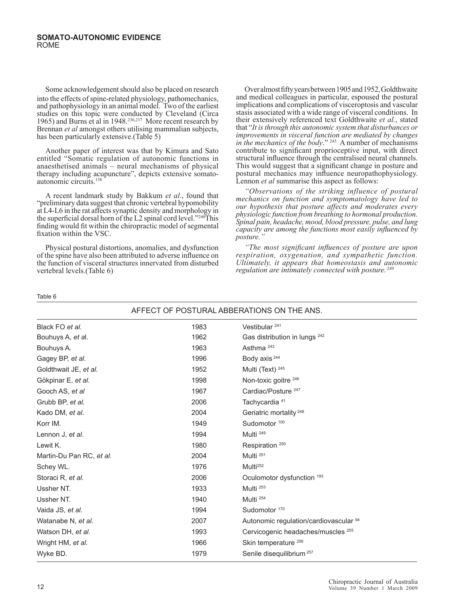Some acknowledgement should also be placed on research into the effects of spine-related physiology, pathomechanics, and pathophysiology in an animal model. Two of the earliest studies on this topic were conducted by Cleveland (Circa 1965) and Burns et al in 1948.<sup>236,237</sup> More recent research by Brennan *et al* amongst others utilising mammalian subjects, has been particularly extensive.(Table 5)

Another paper of interest was that by Kimura and Sato entitled "Somatic regulation of autonomic functions in anaesthetised animals – neural mechanisms of physical therapy including acupuncture", depicts extensive somatoautonomic circuits.<sup>138</sup>

A recent landmark study by Bakkum *et al*., found that "preliminary data suggest that chronic vertebral hypomobility at L4-L6 in the rat affects synaptic density and morphology in the superficial dorsal horn of the L2 spinal cord level."240This finding would fit within the chiropractic model of segmental fixation within the VSC.

Physical postural distortions, anomalies, and dysfunction of the spine have also been attributed to adverse influence on the function of visceral structures innervated from disturbed vertebral levels.(Table 6)

Over almost fifty years between 1905 and 1952, Goldthwaite and medical colleagues in particular, espoused the postural implications and complications of visceroptosis and vascular stasis associated with a wide range of visceral conditions. In their extensively referenced text Goldthwaite *et al.*, stated that "*It is through this autonomic system that disturbances or improvements in visceral function are mediated by changes in the mechanics of the body*." 245 A number of mechanisms contribute to significant proprioceptive input, with direct structural influence through the centralised neural channels. This would suggest that a significant change in posture and postural mechanics may influence neuropathophysiology. Lennon *et al* summarise this aspect as follows:

*"Observations of the striking influence of postural mechanics on function and symptomatology have led to our hypothesis that posture affects and moderates every physiologic function from breathing to hormonal production. Spinal pain, headache, mood, blood pressure, pulse, and lung capacity are among the functions most easily influenced by posture."* 

*"The most significant influences of posture are upon respiration, oxygenation, and sympathetic function. Ultimately, it appears that homeostasis and autonomic regulation are intimately connected with posture.*<sup>249</sup>

Table 6

| AFFECT OF POSTURAL ABBERATIONS ON THE ANS. |      |                                        |  |
|--------------------------------------------|------|----------------------------------------|--|
| Black FO et al.                            | 1983 | Vestibular <sup>241</sup>              |  |
| Bouhuys A, et al.                          | 1962 | Gas distribution in lungs 242          |  |
| Bouhuys A.                                 | 1963 | Asthma <sup>243</sup>                  |  |
| Gagey BP, et al.                           | 1996 | Body axis <sup>244</sup>               |  |
| Goldthwait JE, et al.                      | 1952 | Multi (Text) <sup>245</sup>            |  |
| Gökpinar E, et al.                         | 1998 | Non-toxic goitre 246                   |  |
| Gooch AS, et al                            | 1967 | Cardiac/Posture <sup>247</sup>         |  |
| Grubb BP, et al.                           | 2006 | Tachycardia <sup>41</sup>              |  |
| Kado DM, et al.                            | 2004 | Geriatric mortality <sup>248</sup>     |  |
| Korr IM.                                   | 1949 | Sudomotor <sup>100</sup>               |  |
| Lennon J, et al.                           | 1994 | Multi <sup>249</sup>                   |  |
| Lewit K.                                   | 1980 | Respiration <sup>250</sup>             |  |
| Martin-Du Pan RC, et al.                   | 2004 | Multi <sup>251</sup>                   |  |
| Schey WL.                                  | 1976 | Multi <sup>252</sup>                   |  |
| Storaci R, et al.                          | 2006 | Oculomotor dysfunction 193             |  |
| Ussher NT.                                 | 1933 | Multi <sup>253</sup>                   |  |
| Ussher NT.                                 | 1940 | Multi <sup>254</sup>                   |  |
| Vaida JS, et al.                           | 1994 | Sudomotor <sup>170</sup>               |  |
| Watanabe N, et al.                         | 2007 | Autonomic regulation/cardiovascular 94 |  |
| Watson DH, et al.                          | 1993 | Cervicogenic headaches/muscles 255     |  |
| Wright HM, et al.                          | 1966 | Skin temperature 256                   |  |
| Wyke BD.                                   | 1979 | Senile disequilibrium <sup>257</sup>   |  |
|                                            |      |                                        |  |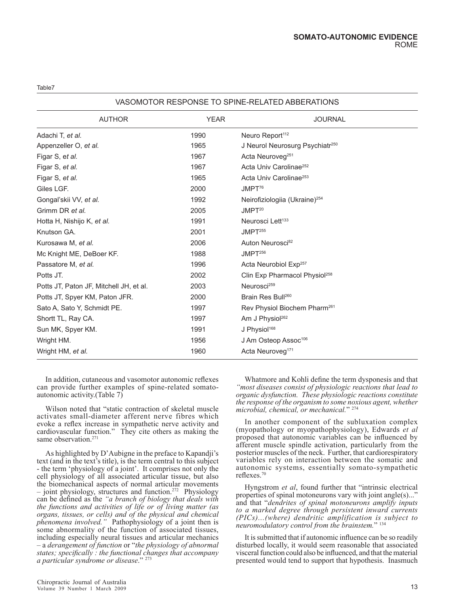### VASOMOTOR RESPONSE TO SPINE-RELATED ABBERATIONS

| <b>AUTHOR</b>                           | <b>YEAR</b> | <b>JOURNAL</b>                              |
|-----------------------------------------|-------------|---------------------------------------------|
| Adachi T, et al.                        | 1990        | Neuro Report <sup>112</sup>                 |
| Appenzeller O, et al.                   | 1965        | J Neurol Neurosurg Psychiatr <sup>250</sup> |
| Figar S, et al.                         | 1967        | Acta Neuroveg <sup>251</sup>                |
| Figar S, et al.                         | 1967        | Acta Univ Carolinae <sup>252</sup>          |
| Figar S, et al.                         | 1965        | Acta Univ Carolinae <sup>253</sup>          |
| Giles LGF.                              | 2000        | JMPT <sup>76</sup>                          |
| Gongal'skii VV, et al.                  | 1992        | Neirofiziologiia (Ukraine) <sup>254</sup>   |
| Grimm DR et al.                         | 2005        | JMPT <sup>20</sup>                          |
| Hotta H, Nishijo K, et al.              | 1991        | Neurosci Lett <sup>133</sup>                |
| Knutson GA.                             | 2001        | JMPT <sup>255</sup>                         |
| Kurosawa M, et al.                      | 2006        | Auton Neurosci <sup>82</sup>                |
| Mc Knight ME, DeBoer KF.                | 1988        | JMPT <sup>256</sup>                         |
| Passatore M, et al.                     | 1996        | Acta Neurobiol Exp <sup>257</sup>           |
| Potts JT.                               | 2002        | Clin Exp Pharmacol Physiol <sup>258</sup>   |
| Potts JT, Paton JF, Mitchell JH, et al. | 2003        | Neurosci <sup>259</sup>                     |
| Potts JT, Spyer KM, Paton JFR.          | 2000        | Brain Res Bull260                           |
| Sato A, Sato Y, Schmidt PE.             | 1997        | Rev Physiol Biochem Pharm <sup>261</sup>    |
| Shortt TL, Ray CA.                      | 1997        | Am J Physiol <sup>262</sup>                 |
| Sun MK, Spyer KM.                       | 1991        | J Physiol <sup>168</sup>                    |
| Wright HM.                              | 1956        | J Am Osteop Assoc <sup>106</sup>            |
| Wright HM, et al.                       | 1960        | Acta Neuroveg <sup>171</sup>                |

In addition, cutaneous and vasomotor autonomic reflexes can provide further examples of spine-related somatoautonomic activity.(Table 7)

Wilson noted that "static contraction of skeletal muscle activates small-diameter afferent nerve fibres which evoke a reflex increase in sympathetic nerve activity and cardiovascular function." They cite others as making the same observation.<sup>271</sup>

As highlighted by D'Aubigne in the preface to Kapandji's text (and in the text's title), is the term central to this subject - the term 'physiology of a joint'. It comprises not only the cell physiology of all associated articular tissue, but also the biomechanical aspects of normal articular movements – joint physiology, structures and function.272 Physiology can be defined as the *"a branch of biology that deals with the functions and activities of life or of living matter (as organs, tissues, or cells) and of the physical and chemical phenomena involved."* Pathophysiology of a joint then is some abnormality of the function of associated tissues, including especially neural tissues and articular mechanics – a *derangement of function* or "*the physiology of abnormal states; specifically : the functional changes that accompany a particular syndrome or disease*." 273

Whatmore and Kohli define the term dysponesis and that *"most diseases consist of physiologic reactions that lead to organic dysfunction. These physiologic reactions constitute the response of the organism to some noxious agent, whether microbial, chemical, or mechanical.*" 274

In another component of the subluxation complex (myopathology or myopathophysiology), Edwards *et al* proposed that autonomic variables can be influenced by afferent muscle spindle activation, particularly from the posterior muscles of the neck. Further, that cardiorespiratory variables rely on interaction between the somatic and autonomic systems, essentially somato-sympathetic reflexes.70

Hyngstrom *et al*, found further that "intrinsic electrical properties of spinal motoneurons vary with joint angle(s)..." and that "*dendrites of spinal motoneurons amplify inputs to a marked degree through persistent inward currents (PICs)...(where) dendritic amplification is subject to neuromodulatory control from the brainstem.*" 134

It is submitted that if autonomic influence can be so readily disturbed locally, it would seem reasonable that associated visceral function could also be influenced, and that the material presented would tend to support that hypothesis. Inasmuch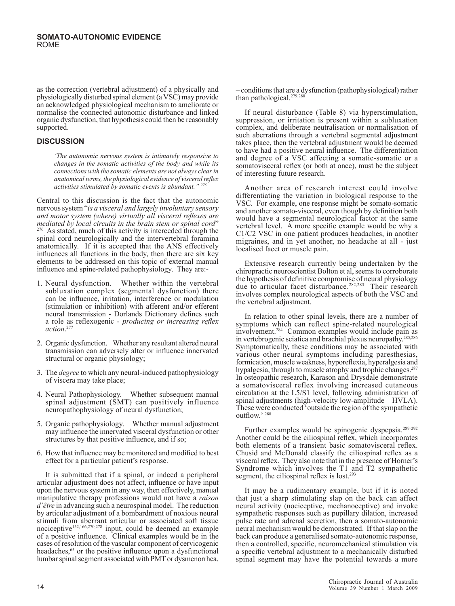as the correction (vertebral adjustment) of a physically and physiologically disturbed spinal element (a VSC) may provide an acknowledged physiological mechanism to ameliorate or normalise the connected autonomic disturbance and linked organic dysfunction, that hypothesis could then be reasonably supported.

### **DISCUSSION**

*'The autonomic nervous system is intimately responsive to changes in the somatic activities of the body and while its connections with the somatic elements are not always clear in anatomical terms, the physiological evidence of visceral reflex activities stimulated by somatic events is abundant."* <sup>2</sup>

Central to this discussion is the fact that the autonomic nervous system "*is a visceral and largely involuntary sensory and motor system (where) virtually all visceral reflexes are mediated by local circuits in the brain stem or spinal cord*" 2<sup>76</sup> As stated, much of this activity is interceded through the spinal cord neurologically and the intervertebral foramina anatomically. If it is accepted that the ANS effectively influences all functions in the body, then there are six key elements to be addressed on this topic of external manual influence and spine-related pathophysiology. They are:-

- 1. Neural dysfunction. Whether within the vertebral subluxation complex (segmental dysfunction) there can be influence, irritation, interference or modulation (stimulation or inhibition) with afferent and/or efferent neural transmission - Dorlands Dictionary defines such a role as reflexogenic - *producing or increasing reflex action*. 277
- 2. Organic dysfunction. Whether any resultant altered neural transmission can adversely alter or influence innervated structural or organic physiology;
- 3. The *degree* to which any neural-induced pathophysiology of viscera may take place;
- 4. Neural Pathophysiology. Whether subsequent manual spinal adjustment (SMT) can positively influence neuropathophysiology of neural dysfunction;
- 5. Organic pathophysiology. Whether manual adjustment may influence the innervated visceral dysfunction or other structures by that positive influence, and if so;
- 6. How that influence may be monitored and modified to best effect for a particular patient's response.

It is submitted that if a spinal, or indeed a peripheral articular adjustment does not affect, influence or have input upon the nervous system in any way, then effectively, manual manipulative therapy professions would not have a *raison d'être* in advancing such a neurospinal model. The reduction by articular adjustment of a bombardment of noxious neural stimuli from aberrant articular or associated soft tissue nociceptive152,166,270,278 input, could be deemed an example of a positive influence. Clinical examples would be in the cases of resolution of the vascular component of cervicogenic headaches,<sup>65</sup> or the positive influence upon a dysfunctional lumbar spinal segment associated with PMT or dysmenorrhea.

– conditions that are a dysfunction (pathophysiological) rather than pathological.<sup>279,280</sup>

If neural disturbance (Table 8) via hyperstimulation, suppression, or irritation is present within a subluxation complex, and deliberate neutralisation or normalisation of such aberrations through a vertebral segmental adjustment takes place, then the vertebral adjustment would be deemed to have had a positive neural influence. The differentiation and degree of a VSC affecting a somatic-somatic or a somatovisceral reflex (or both at once), must be the subject of interesting future research.

Another area of research interest could involve differentiating the variation in biological response to the VSC. For example, one response might be somato-somatic and another somato-visceral, even though by definition both would have a segmental neurological factor at the same vertebral level. A more specific example would be why a C1/C2 VSC in one patient produces headaches, in another migraines, and in yet another, no headache at all - just localised facet or muscle pain.

Extensive research currently being undertaken by the chiropractic neuroscientist Bolton et al, seems to corroborate the hypothesis of definitive compromise of neural physiology due to articular facet disturbance.282,283 Their research involves complex neurological aspects of both the VSC and the vertebral adjustment.

In relation to other spinal levels, there are a number of symptoms which can reflect spine-related neurological involvement.284 Common examples would include pain as in vertebrogenic sciatica and brachial plexus neuropathy.285,286 Symptomatically, these conditions may be associated with various other neural symptoms including paresthesias, formication, muscle weakness, hyporeflexia, hyperalgesia and hypalgesia, through to muscle atrophy and trophic changes.<sup>287</sup> In osteopathic research, Karason and Drysdale demonstrate a somatovisceral reflex involving increased cutaneous circulation at the L5/S1 level, following administration of spinal adjustments (high-velocity low-amplitude – HVLA). These were conducted 'outside the region of the sympathetic outflow.' 288

Further examples would be spinogenic dyspepsia.<sup>289-292</sup> Another could be the ciliospinal reflex, which incorporates both elements of a transient basic somatovisceral reflex. Chusid and McDonald classify the ciliospinal reflex as a visceral reflex. They also note that in the presence of Horner's Syndrome which involves the T1 and T2 sympathetic segment, the ciliospinal reflex is lost.<sup>293</sup>

It may be a rudimentary example, but if it is noted that just a sharp stimulating slap on the back can affect neural activity (nociceptive, mechanoceptive) and invoke sympathetic responses such as pupillary dilation, increased pulse rate and adrenal secretion, then a somato-autonomic neural mechanism would be demonstrated. If that slap on the back can produce a generalised somato-autonomic response, then a controlled, specific, neuromechanical stimulation via a specific vertebral adjustment to a mechanically disturbed spinal segment may have the potential towards a more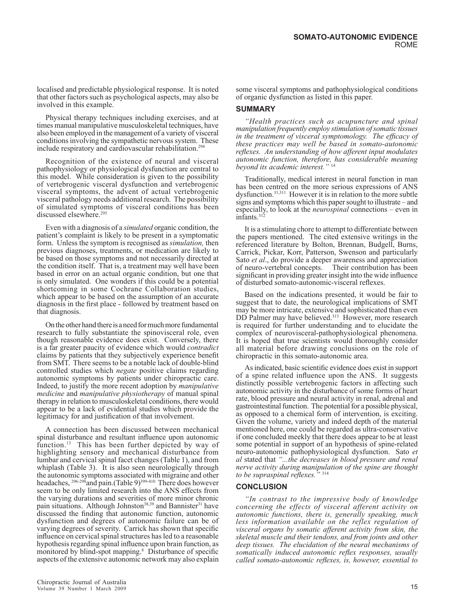localised and predictable physiological response. It is noted that other factors such as psychological aspects, may also be involved in this example.

Physical therapy techniques including exercises, and at times manual manipulative musculoskeletal techniques, have also been employed in the management of a variety of visceral conditions involving the sympathetic nervous system. These include respiratory and cardiovascular rehabilitation.294

Recognition of the existence of neural and visceral pathophysiology or physiological dysfunction are central to this model. While consideration is given to the possibility of vertebrogenic visceral dysfunction and vertebrogenic visceral symptoms, the advent of actual vertebrogenic visceral pathology needs additional research. The possibility of simulated symptoms of visceral conditions has been discussed elsewhere.<sup>295</sup>

Even with a diagnosis of a *simulated* organic condition, the patient's complaint is likely to be present in a symptomatic form. Unless the symptom is recognised as *simulation,* then previous diagnoses, treatments, or medication are likely to be based on those symptoms and not necessarily directed at the condition itself. That is, a treatment may well have been based in error on an actual organic condition, but one that is only simulated. One wonders if this could be a potential shortcoming in some Cochrane Collaboration studies, which appear to be based on the assumption of an accurate diagnosis in the first place - followed by treatment based on that diagnosis.

On the other hand there is a need for much more fundamental research to fully substantiate the spinovisceral role, even though reasonable evidence does exist. Conversely, there is a far greater paucity of evidence which would *contradict* claims by patients that they subjectively experience benefit from SMT. There seems to be a notable lack of double-blind controlled studies which *negate* positive claims regarding autonomic symptoms by patients under chiropractic care. Indeed, to justify the more recent adoption by *manipulative medicine* and *manipulative physiotherapy* of manual spinal therapy in relation to musculoskeletal conditions, there would appear to be a lack of evidential studies which provide the legitimacy for and justification of that involvement.

A connection has been discussed between mechanical spinal disturbance and resultant influence upon autonomic function.<sup>13</sup> This has been further depicted by way of highlighting sensory and mechanical disturbance from lumbar and cervical spinal facet changes (Table 1), and from whiplash (Table 3). It is also seen neurologically through the autonomic symptoms associated with migraine and other headaches,  $296-298$  and pain.(Table 9)<sup>399-410</sup> There does however seem to be only limited research into the ANS effects from the varying durations and severities of more minor chronic pain situations. Although Johnston<sup>38,39</sup> and Bannister<sup>31</sup> have discussed the finding that autonomic function, autonomic dysfunction and degrees of autonomic failure can be of varying degrees of severity. Carrick has shown that specific influence on cervical spinal structures has led to a reasonable hypothesis regarding spinal influence upon brain function, as monitored by blind-spot mapping.<sup>8</sup> Disturbance of specific aspects of the extensive autonomic network may also explain

some visceral symptoms and pathophysiological conditions of organic dysfunction as listed in this paper.

### **SUMMARY**

*"Health practices such as acupuncture and spinal manipulation frequently employ stimulation of somatic tissues in the treatment of visceral symptomology. The efficacy of these practices may well be based in somato-autonomic reflexes. An understanding of how afferent input modulates autonomic function, therefore, has considerable meaning beyond its academic interest."* <sup>14</sup>

Traditionally, medical interest in neural function in man has been centred on the more serious expressions of ANS dysfunction.31,311 However it is in relation to the more subtle signs and symptoms which this paper sought to illustrate – and especially, to look at the *neurospinal* connections – even in infants.312

It is a stimulating chore to attempt to differentiate between the papers mentioned. The cited extensive writings in the referenced literature by Bolton, Brennan, Budgell, Burns, Carrick, Pickar, Korr, Patterson, Swenson and particularly Sato *et al*., do provide a deeper awareness and appreciation of neuro-vertebral concepts. Their contribution has been significant in providing greater insight into the wide influence of disturbed somato-autonomic-visceral reflexes.

Based on the indications presented, it would be fair to suggest that to date, the neurological implications of SMT may be more intricate, extensive and sophisticated than even DD Palmer may have believed.<sup>313</sup> However, more research is required for further understanding and to elucidate the complex of neurovisceral-pathophysiological phenomena. It is hoped that true scientists would thoroughly consider all material before drawing conclusions on the role of chiropractic in this somato-autonomic area.

As indicated, basic scientific evidence does exist in support of a spine related influence upon the ANS. It suggests distinctly possible vertebrogenic factors in affecting such autonomic activity in the disturbance of some forms of heart rate, blood pressure and neural activity in renal, adrenal and gastrointestinal function. The potential for a possible physical, as opposed to a chemical form of intervention, is exciting. Given the volume, variety and indeed depth of the material mentioned here, one could be regarded as ultra-conservative if one concluded meekly that there does appear to be at least some potential in support of an hypothesis of spine-related neuro-autonomic pathophysiological dysfunction. Sato *et al* stated that *"...the decreases in blood pressure and renal nerve activity during manipulation of the spine are thought to be supraspinal reflexes."* <sup>314</sup>

### **CONCLUSION**

*"In contrast to the impressive body of knowledge concerning the effects of visceral afferent activity on autonomic functions, there is, generally speaking, much less information available on the reflex regulation of visceral organs by somatic afferent activity from skin, the skeletal muscle and their tendons, and from joints and other deep tissues. The elucidation of the neural mechanisms of somatically induced autonomic reflex responses, usually called somato-autonomic reflexes, is, however, essential to*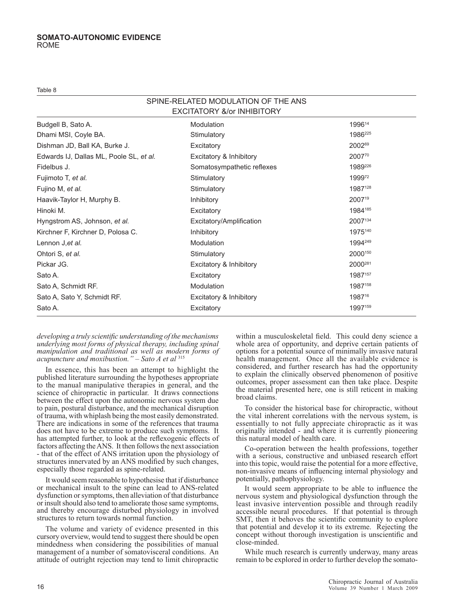Table 8

#### SPINE-RELATED MODULATION OF THE ANS EXCITATORY &/or INHIBITORY

| Budgell B, Sato A.                      | Modulation                 | 199614              |
|-----------------------------------------|----------------------------|---------------------|
| Dhami MSI, Coyle BA.                    | Stimulatory                | 1986 <sup>225</sup> |
| Dishman JD, Ball KA, Burke J.           | Excitatory                 | 200269              |
| Edwards IJ, Dallas ML, Poole SL, et al. | Excitatory & Inhibitory    | 200770              |
| Fidelbus J.                             | Somatosympathetic reflexes | 1989226             |
| Fujimoto T, et al.                      | Stimulatory                | 199972              |
| Fujino M, et al.                        | Stimulatory                | 1987128             |
| Haavik-Taylor H, Murphy B.              | <b>Inhibitory</b>          | 200719              |
| Hinoki M.                               | Excitatory                 | 1984185             |
| Hyngstrom AS, Johnson, et al.           | Excitatory/Amplification   | 2007134             |
| Kirchner F, Kirchner D, Polosa C.       | <b>Inhibitory</b>          | 1975140             |
| Lennon J, et al.                        | Modulation                 | 1994249             |
| Ohtori S, et al.                        | Stimulatory                | 2000150             |
| Pickar JG.                              | Excitatory & Inhibitory    | 2000 <sup>281</sup> |
| Sato A.                                 | Excitatory                 | 1987157             |
| Sato A, Schmidt RF.                     | Modulation                 | 1987158             |
| Sato A, Sato Y, Schmidt RF.             | Excitatory & Inhibitory    | 198716              |
| Sato A.                                 | Excitatory                 | 1997159             |

*developing a truly scientific understanding of the mechanisms underlying most forms of physical therapy, including spinal manipulation and traditional as well as modern forms of acupuncture and moxibustion." – Sato A et al* <sup>315</sup>

In essence, this has been an attempt to highlight the published literature surrounding the hypotheses appropriate to the manual manipulative therapies in general, and the science of chiropractic in particular. It draws connections between the effect upon the autonomic nervous system due to pain, postural disturbance, and the mechanical disruption of trauma, with whiplash being the most easily demonstrated. There are indications in some of the references that trauma does not have to be extreme to produce such symptoms. It has attempted further, to look at the reflexogenic effects of factors affecting the ANS. It then follows the next association - that of the effect of ANS irritation upon the physiology of structures innervated by an ANS modified by such changes, especially those regarded as spine-related.

It would seem reasonable to hypothesise that if disturbance or mechanical insult to the spine can lead to ANS-related dysfunction or symptoms, then alleviation of that disturbance or insult should also tend to ameliorate those same symptoms, and thereby encourage disturbed physiology in involved structures to return towards normal function.

The volume and variety of evidence presented in this cursory overview, would tend to suggest there should be open mindedness when considering the possibilities of manual management of a number of somatovisceral conditions. An attitude of outright rejection may tend to limit chiropractic

within a musculoskeletal field. This could deny science a whole area of opportunity, and deprive certain patients of options for a potential source of minimally invasive natural health management. Once all the available evidence is considered, and further research has had the opportunity to explain the clinically observed phenomenon of positive outcomes, proper assessment can then take place. Despite the material presented here, one is still reticent in making broad claims.

To consider the historical base for chiropractic, without the vital inherent correlations with the nervous system, is essentially to not fully appreciate chiropractic as it was originally intended - and where it is currently pioneering this natural model of health care.

Co-operation between the health professions, together with a serious, constructive and unbiased research effort into this topic, would raise the potential for a more effective, non-invasive means of influencing internal physiology and potentially, pathophysiology.

It would seem appropriate to be able to influence the nervous system and physiological dysfunction through the least invasive intervention possible and through readily accessible neural procedures. If that potential is through SMT, then it behoves the scientific community to explore that potential and develop it to its extreme. Rejecting the concept without thorough investigation is unscientific and close-minded.

While much research is currently underway, many areas remain to be explored in order to further develop the somato-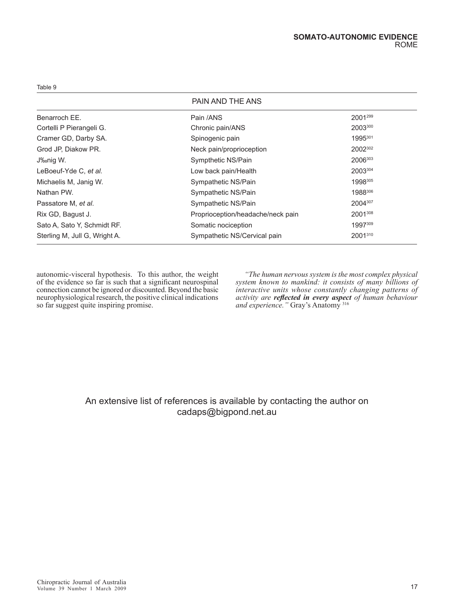### PAIN AND THE ANS

| Benarroch EE.                 | Pain /ANS                         | 2001299 |
|-------------------------------|-----------------------------------|---------|
| Cortelli P Pierangeli G.      | Chronic pain/ANS                  | 2003300 |
| Cramer GD, Darby SA.          | Spinogenic pain                   | 1995301 |
| Grod JP, Diakow PR.           | Neck pain/proprioception          | 2002302 |
| J‰nig W.                      | Sympthetic NS/Pain                | 2006303 |
| LeBoeuf-Yde C, et al.         | Low back pain/Health              | 2003304 |
| Michaelis M, Janig W.         | Sympathetic NS/Pain               | 1998305 |
| Nathan PW.                    | Sympathetic NS/Pain               | 1988306 |
| Passatore M, et al.           | Sympathetic NS/Pain               | 2004307 |
| Rix GD, Bagust J.             | Proprioception/headache/neck pain | 2001308 |
| Sato A, Sato Y, Schmidt RF.   | Somatic nociception               | 1997309 |
| Sterling M, Jull G, Wright A. | Sympathetic NS/Cervical pain      | 2001310 |
|                               |                                   |         |

autonomic-visceral hypothesis. To this author, the weight of the evidence so far is such that a significant neurospinal connection cannot be ignored or discounted. Beyond the basic neurophysiological research, the positive clinical indications so far suggest quite inspiring promise.

*"The human nervous system is the most complex physical system known to mankind: it consists of many billions of interactive units whose constantly changing patterns of activity are reflected in every aspect of human behaviour and experience."* Gray's Anatomy 316

## An extensive list of references is available by contacting the author on cadaps@bigpond.net.au